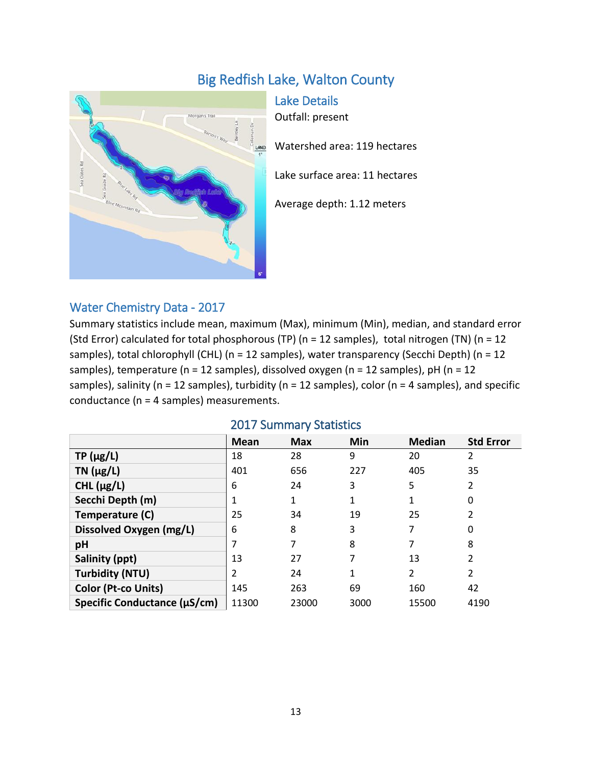# Big Redfish Lake, Walton County



Lake Details Outfall: present Watershed area: 119 hectares Lake surface area: 11 hectares Average depth: 1.12 meters

#### Water Chemistry Data - 2017

Summary statistics include mean, maximum (Max), minimum (Min), median, and standard error (Std Error) calculated for total phosphorous (TP) (n = 12 samples), total nitrogen (TN) (n = 12 samples), total chlorophyll (CHL) (n = 12 samples), water transparency (Secchi Depth) (n = 12 samples), temperature (n = 12 samples), dissolved oxygen (n = 12 samples), pH (n = 12 samples), salinity (n = 12 samples), turbidity (n = 12 samples), color (n = 4 samples), and specific conductance (n = 4 samples) measurements.

|                              | Mean  | <b>Max</b> | Min  | <b>Median</b>  | <b>Std Error</b> |
|------------------------------|-------|------------|------|----------------|------------------|
| $TP(\mu g/L)$                | 18    | 28         | 9    | 20             | $\overline{2}$   |
| TN $(\mu g/L)$               | 401   | 656        | 227  | 405            | 35               |
| CHL $(\mu g/L)$              | 6     | 24         | 3    | 5              | 2                |
| Secchi Depth (m)             | 1     | 1          | 1    | 1              | 0                |
| Temperature (C)              | 25    | 34         | 19   | 25             | 2                |
| Dissolved Oxygen (mg/L)      | 6     | 8          | 3    | 7              | 0                |
| pH                           |       |            | 8    |                | 8                |
| Salinity (ppt)               | 13    | 27         |      | 13             | 2                |
| <b>Turbidity (NTU)</b>       | 2     | 24         |      | $\overline{2}$ | 2                |
| <b>Color (Pt-co Units)</b>   | 145   | 263        | 69   | 160            | 42               |
| Specific Conductance (µS/cm) | 11300 | 23000      | 3000 | 15500          | 4190             |

#### 2017 Summary Statistics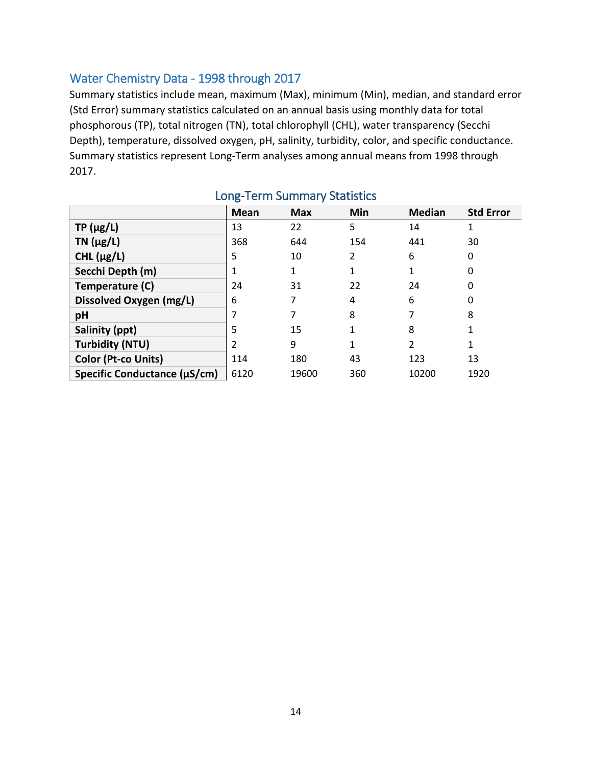### Water Chemistry Data - 1998 through 2017

Summary statistics include mean, maximum (Max), minimum (Min), median, and standard error (Std Error) summary statistics calculated on an annual basis using monthly data for total phosphorous (TP), total nitrogen (TN), total chlorophyll (CHL), water transparency (Secchi Depth), temperature, dissolved oxygen, pH, salinity, turbidity, color, and specific conductance. Summary statistics represent Long-Term analyses among annual means from 1998 through 2017.

|                              | <b>Mean</b> | <b>Max</b> | Min | <b>Median</b>  | <b>Std Error</b> |
|------------------------------|-------------|------------|-----|----------------|------------------|
| $TP(\mu g/L)$                | 13          | 22         | 5   | 14             |                  |
| TN $(\mu g/L)$               | 368         | 644        | 154 | 441            | 30               |
| CHL $(\mu g/L)$              | 5           | 10         | 2   | 6              | 0                |
| Secchi Depth (m)             |             |            | 1   | 1              | 0                |
| Temperature (C)              | 24          | 31         | 22  | 24             | 0                |
| Dissolved Oxygen (mg/L)      | 6           |            | 4   | 6              | 0                |
| pH                           | 7           |            | 8   | 7              | 8                |
| Salinity (ppt)               | 5           | 15         | 1   | 8              |                  |
| <b>Turbidity (NTU)</b>       | 2           | 9          | 1   | $\overline{2}$ | 1                |
| Color (Pt-co Units)          | 114         | 180        | 43  | 123            | 13               |
| Specific Conductance (µS/cm) | 6120        | 19600      | 360 | 10200          | 1920             |

## Long-Term Summary Statistics